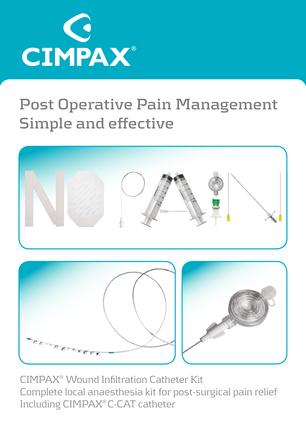

## **Post Operative Pain Management Simple and effective**



CIMPAX® Wound Infiltration Catheter Kit Complete local anaesthesia kit for post-surgical pain relief Including CIMPAX® C-CAT catheter